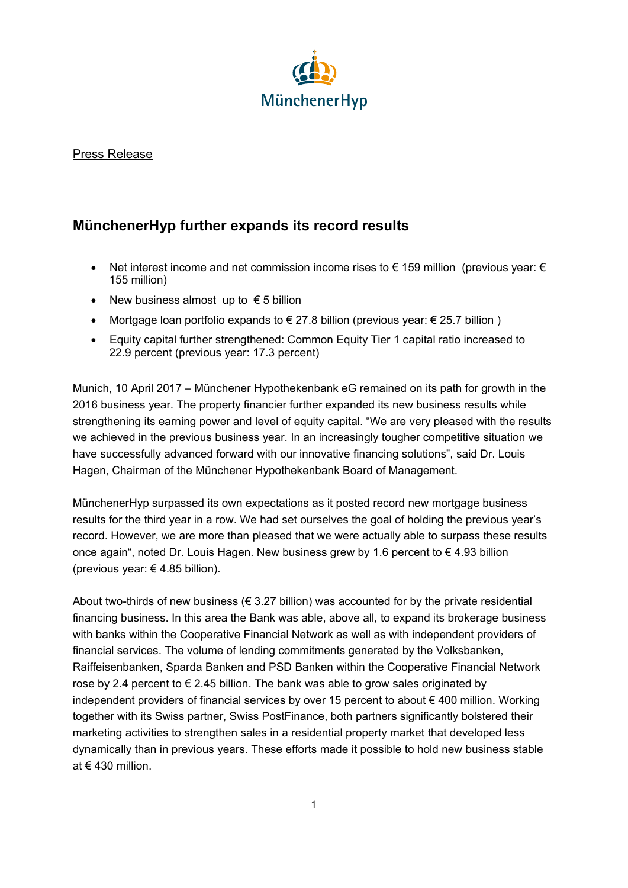

## Press Release

## **MünchenerHyp further expands its record results**

- Net interest income and net commission income rises to € 159 million (previous year: € 155 million)
- New business almost up to  $\epsilon$  5 billion
- Mortgage loan portfolio expands to  $\epsilon$  27.8 billion (previous year:  $\epsilon$  25.7 billion)
- Equity capital further strengthened: Common Equity Tier 1 capital ratio increased to 22.9 percent (previous year: 17.3 percent)

Munich, 10 April 2017 – Münchener Hypothekenbank eG remained on its path for growth in the 2016 business year. The property financier further expanded its new business results while strengthening its earning power and level of equity capital. "We are very pleased with the results we achieved in the previous business year. In an increasingly tougher competitive situation we have successfully advanced forward with our innovative financing solutions", said Dr. Louis Hagen, Chairman of the Münchener Hypothekenbank Board of Management.

MünchenerHyp surpassed its own expectations as it posted record new mortgage business results for the third year in a row. We had set ourselves the goal of holding the previous year's record. However, we are more than pleased that we were actually able to surpass these results once again", noted Dr. Louis Hagen. New business grew by 1.6 percent to € 4.93 billion (previous year:  $\epsilon$  4.85 billion).

About two-thirds of new business ( $\epsilon$  3.27 billion) was accounted for by the private residential financing business. In this area the Bank was able, above all, to expand its brokerage business with banks within the Cooperative Financial Network as well as with independent providers of financial services. The volume of lending commitments generated by the Volksbanken, Raiffeisenbanken, Sparda Banken and PSD Banken within the Cooperative Financial Network rose by 2.4 percent to  $\epsilon$  2.45 billion. The bank was able to grow sales originated by independent providers of financial services by over 15 percent to about € 400 million. Working together with its Swiss partner, Swiss PostFinance, both partners significantly bolstered their marketing activities to strengthen sales in a residential property market that developed less dynamically than in previous years. These efforts made it possible to hold new business stable at € 430 million.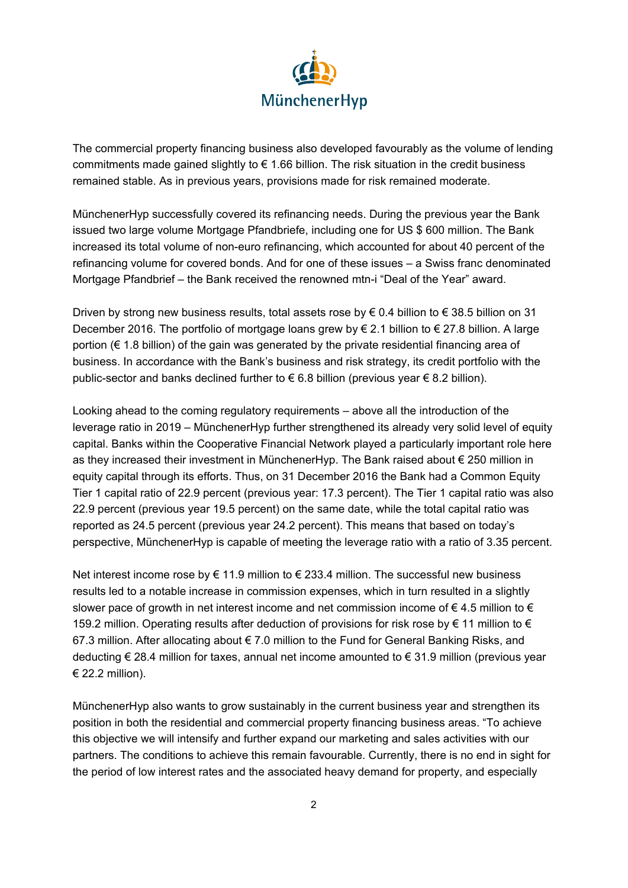

The commercial property financing business also developed favourably as the volume of lending commitments made gained slightly to  $\epsilon$  1.66 billion. The risk situation in the credit business remained stable. As in previous years, provisions made for risk remained moderate.

MünchenerHyp successfully covered its refinancing needs. During the previous year the Bank issued two large volume Mortgage Pfandbriefe, including one for US \$ 600 million. The Bank increased its total volume of non-euro refinancing, which accounted for about 40 percent of the refinancing volume for covered bonds. And for one of these issues – a Swiss franc denominated Mortgage Pfandbrief – the Bank received the renowned mtn-i "Deal of the Year" award.

Driven by strong new business results, total assets rose by  $\epsilon$  0.4 billion to  $\epsilon$  38.5 billion on 31 December 2016. The portfolio of mortgage loans grew by € 2.1 billion to € 27.8 billion. A large portion (€ 1.8 billion) of the gain was generated by the private residential financing area of business. In accordance with the Bank's business and risk strategy, its credit portfolio with the public-sector and banks declined further to € 6.8 billion (previous year € 8.2 billion).

Looking ahead to the coming regulatory requirements – above all the introduction of the leverage ratio in 2019 – MünchenerHyp further strengthened its already very solid level of equity capital. Banks within the Cooperative Financial Network played a particularly important role here as they increased their investment in MünchenerHyp. The Bank raised about € 250 million in equity capital through its efforts. Thus, on 31 December 2016 the Bank had a Common Equity Tier 1 capital ratio of 22.9 percent (previous year: 17.3 percent). The Tier 1 capital ratio was also 22.9 percent (previous year 19.5 percent) on the same date, while the total capital ratio was reported as 24.5 percent (previous year 24.2 percent). This means that based on today's perspective, MünchenerHyp is capable of meeting the leverage ratio with a ratio of 3.35 percent.

Net interest income rose by  $\in$  11.9 million to  $\in$  233.4 million. The successful new business results led to a notable increase in commission expenses, which in turn resulted in a slightly slower pace of growth in net interest income and net commission income of  $\in$  4.5 million to  $\in$ 159.2 million. Operating results after deduction of provisions for risk rose by € 11 million to € 67.3 million. After allocating about € 7.0 million to the Fund for General Banking Risks, and deducting € 28.4 million for taxes, annual net income amounted to € 31.9 million (previous year € 22.2 million).

MünchenerHyp also wants to grow sustainably in the current business year and strengthen its position in both the residential and commercial property financing business areas. "To achieve this objective we will intensify and further expand our marketing and sales activities with our partners. The conditions to achieve this remain favourable. Currently, there is no end in sight for the period of low interest rates and the associated heavy demand for property, and especially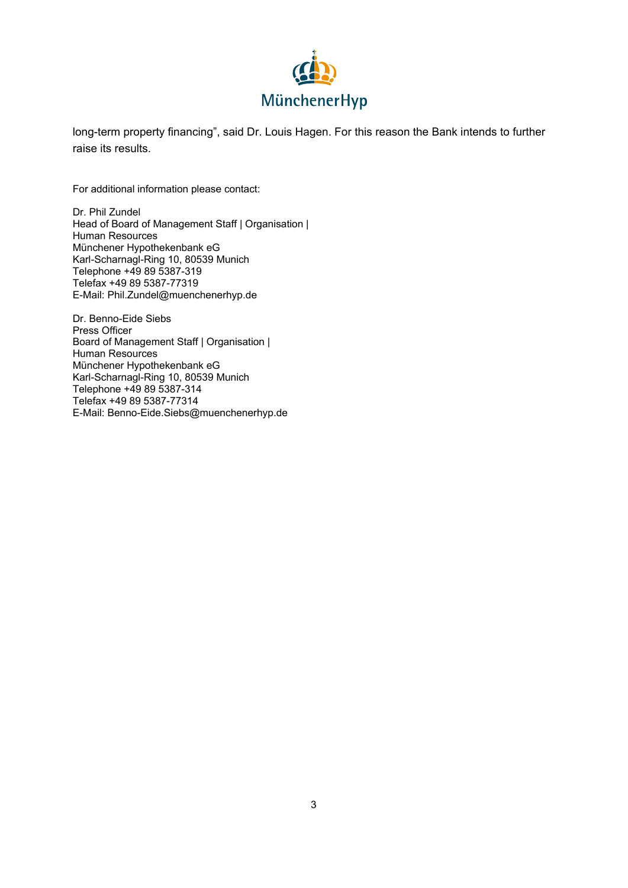

long-term property financing", said Dr. Louis Hagen. For this reason the Bank intends to further raise its results.

For additional information please contact:

Dr. Phil Zundel Head of Board of Management Staff | Organisation | Human Resources Münchener Hypothekenbank eG Karl-Scharnagl-Ring 10, 80539 Munich Telephone +49 89 5387-319 Telefax +49 89 5387-77319 E-Mail: Phil.Zundel@muenchenerhyp.de

Dr. Benno-Eide Siebs Press Officer Board of Management Staff | Organisation | Human Resources Münchener Hypothekenbank eG Karl-Scharnagl-Ring 10, 80539 Munich Telephone +49 89 5387-314 Telefax +49 89 5387-77314 E-Mail: Benno-Eide.Siebs@muenchenerhyp.de